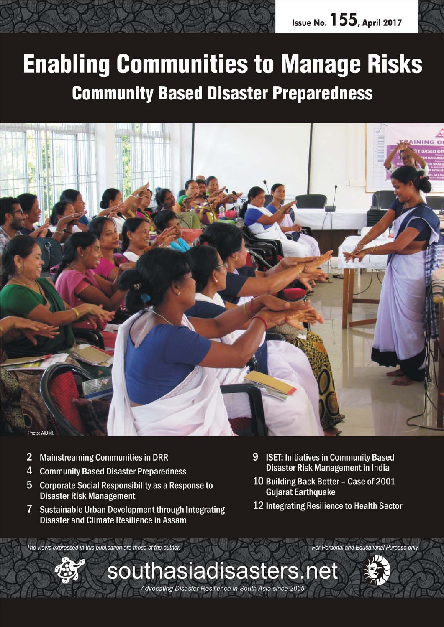

# **Enabling Communities to Manage Risks Community Based Disaster Preparedness**



- $\overline{2}$ **Mainstreaming Communities in DRR**
- $\overline{4}$ **Community Based Disaster Preparedness**
- 5 Corporate Social Responsibility as a Response to **Disaster Risk Management**
- $\overline{7}$ Sustainable Urban Development through Integrating Disaster and Climate Resilience in Assam
- 9 ISET: Initiatives in Community Based Disaster Risk Management in India
- 10 Building Back Better Case of 2001 **Gujarat Earthquake**
- 12 Integrating Resilience to Health Sector

The views expressed in this publication are those of the author.



For Personal and Educational Purpose only

Advocating Disaster Resilience in South Asia since 2005

*April 2017 southasiadisasters.net 1*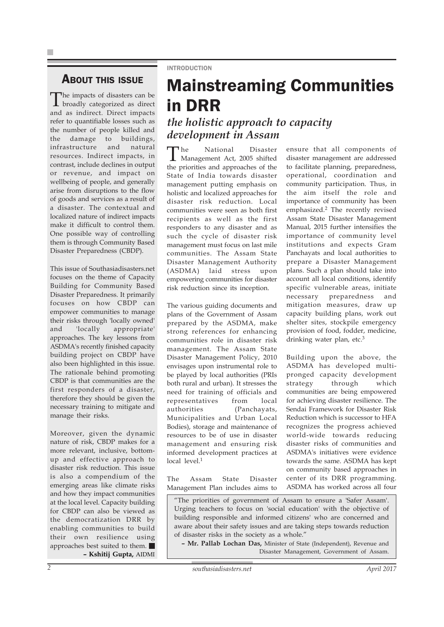#### **ABOUT THIS ISSUE**

The impacts of disasters can be broadly categorized as direct and as indirect. Direct impacts refer to quantifiable losses such as the number of people killed and the damage to buildings, infrastructure and natural resources. Indirect impacts, in contrast, include declines in output or revenue, and impact on wellbeing of people, and generally arise from disruptions to the flow of goods and services as a result of a disaster. The contextual and localized nature of indirect impacts make it difficult to control them. One possible way of controlling them is through Community Based Disaster Preparedness (CBDP).

This issue of Southasiadisasters.net focuses on the theme of Capacity Building for Community Based Disaster Preparedness. It primarily focuses on how CBDP can empower communities to manage their risks through 'locally owned' and 'locally appropriate' approaches. The key lessons from ASDMA's recently finished capacity building project on CBDP have also been highlighted in this issue. The rationale behind promoting CBDP is that communities are the first responders of a disaster, therefore they should be given the necessary training to mitigate and manage their risks.

Moreover, given the dynamic nature of risk, CBDP makes for a more relevant, inclusive, bottomup and effective approach to disaster risk reduction. This issue is also a compendium of the emerging areas like climate risks and how they impact communities at the local level. Capacity building for CBDP can also be viewed as the democratization DRR by enabling communities to build their own resilience using approaches best suited to them. **– Kshitij Gupta,** AIDMI

## Mainstreaming Communities in DRR

*the holistic approach to capacity development in Assam*

The National Disaster Management Act, 2005 shifted the priorities and approaches of the State of India towards disaster management putting emphasis on holistic and localized approaches for disaster risk reduction. Local communities were seen as both first recipients as well as the first responders to any disaster and as such the cycle of disaster risk management must focus on last mile communities. The Assam State Disaster Management Authority (ASDMA) laid stress upon empowering communities for disaster risk reduction since its inception.

INTRODUCTION

The various guiding documents and plans of the Government of Assam prepared by the ASDMA, make strong references for enhancing communities role in disaster risk management. The Assam State Disaster Management Policy, 2010 envisages upon instrumental role to be played by local authorities (PRIs both rural and urban). It stresses the need for training of officials and representatives from local authorities (Panchayats, Municipalities and Urban Local Bodies), storage and maintenance of resources to be of use in disaster management and ensuring risk informed development practices at local level.<sup>1</sup>

The Assam State Disaster Management Plan includes aims to

ensure that all components of disaster management are addressed to facilitate planning, preparedness, operational, coordination and community participation. Thus, in the aim itself the role and importance of community has been emphasized.2 The recently revised Assam State Disaster Management Manual, 2015 further intensifies the importance of community level institutions and expects Gram Panchayats and local authorities to prepare a Disaster Management plans. Such a plan should take into account all local conditions, identify specific vulnerable areas, initiate necessary preparedness and mitigation measures, draw up capacity building plans, work out shelter sites, stockpile emergency provision of food, fodder, medicine, drinking water plan, etc.<sup>3</sup>

Building upon the above, the ASDMA has developed multipronged capacity development strategy through which communities are being empowered for achieving disaster resilience. The Sendai Framework for Disaster Risk Reduction which is successor to HFA recognizes the progress achieved world-wide towards reducing disaster risks of communities and ASDMA's initiatives were evidence towards the same. ASDMA has kept on community based approaches in center of its DRR programming. ASDMA has worked across all four

"The priorities of government of Assam to ensure a 'Safer Assam'. Urging teachers to focus on 'social education' with the objective of building responsible and informed citizens' who are concerned and aware about their safety issues and are taking steps towards reduction of disaster risks in the society as a whole."

**– Mr. Pallab Lochan Das,** Minister of State (Independent), Revenue and Disaster Management, Government of Assam.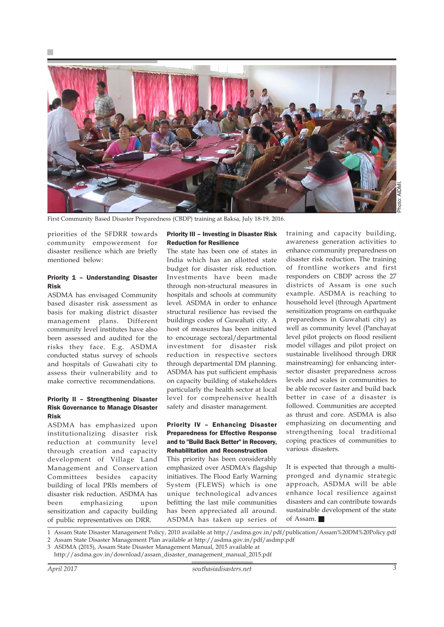

First Community Based Disaster Preparedness (CBDP) training at Baksa, July 18-19, 2016.

priorities of the SFDRR towards community empowerment for disaster resilience which are briefly mentioned below:

#### Priority 1 – Understanding Disaster Risk

ASDMA has envisaged Community based disaster risk assessment as basis for making district disaster management plans. Different community level institutes have also been assessed and audited for the risks they face. E.g. ASDMA conducted status survey of schools and hospitals of Guwahati city to assess their vulnerability and to make corrective recommendations.

#### Priority II – Strengthening Disaster Risk Governance to Manage Disaster Risk

ASDMA has emphasized upon institutionalizing disaster risk reduction at community level through creation and capacity development of Village Land Management and Conservation Committees besides capacity building of local PRIs members of disaster risk reduction. ASDMA has been emphasizing upon sensitization and capacity building of public representatives on DRR.

#### Priority III – Investing in Disaster Risk Reduction for Resilience

The state has been one of states in India which has an allotted state budget for disaster risk reduction. Investments have been made through non-structural measures in hospitals and schools at community level. ASDMA in order to enhance structural resilience has revised the buildings codes of Guwahati city. A host of measures has been initiated to encourage sectoral/departmental investment for disaster risk reduction in respective sectors through departmental DM planning. ASDMA has put sufficient emphasis on capacity building of stakeholders particularly the health sector at local level for comprehensive health safety and disaster management.

#### Priority IV – Enhancing Disaster Preparedness for Effective Response and to "Build Back Better" in Recovery, Rehabilitation and Reconstruction

This priority has been considerably emphasized over ASDMA's flagship initiatives. The Flood Early Warning System (FLEWS) which is one unique technological advances befitting the last mile communities has been appreciated all around. ASDMA has taken up series of

training and capacity building, awareness generation activities to enhance community preparedness on disaster risk reduction. The training of frontline workers and first responders on CBDP across the 27 districts of Assam is one such example. ASDMA is reaching to household level (through Apartment sensitization programs on earthquake preparedness in Guwahati city) as well as community level (Panchayat level pilot projects on flood resilient model villages and pilot project on sustainable livelihood through DRR mainstreaming) for enhancing intersector disaster preparedness across levels and scales in communities to be able recover faster and build back better in case of a disaster is followed. Communities are accepted as thrust and core. ASDMA is also emphasizing on documenting and strengthening local traditional coping practices of communities to various disasters.

It is expected that through a multipronged and dynamic strategic approach, ASDMA will be able enhance local resilience against disasters and can contribute towards sustainable development of the state of Assam.

1 Assam State Disaster Management Policy, 2010 available at http://asdma.gov.in/pdf/publication/Assam%20DM%20Policy.pdf

2 Assam State Disaster Management Plan available at http://asdma.gov.in/pdf/asdmp.pdf

3 ASDMA (2015), Assam State Disaster Management Manual, 2015 available at

http://asdma.gov.in/download/assam\_disaster\_management\_manual\_2015.pdf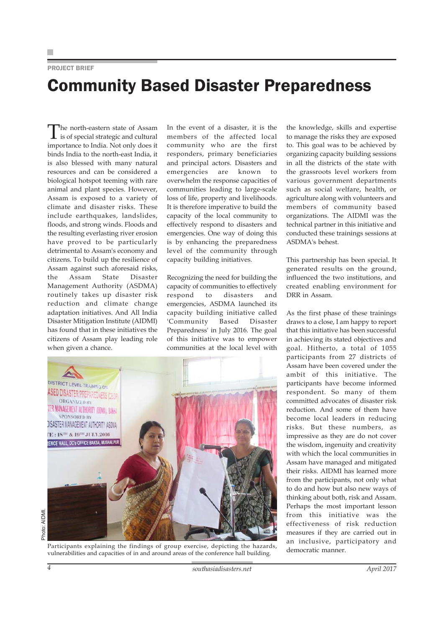#### PROJECT BRIEF

### Community Based Disaster Preparedness

The north-eastern state of Assam is of special strategic and cultural importance to India. Not only does it binds India to the north-east India, it is also blessed with many natural resources and can be considered a biological hotspot teeming with rare animal and plant species. However, Assam is exposed to a variety of climate and disaster risks. These include earthquakes, landslides, floods, and strong winds. Floods and the resulting everlasting river erosion have proved to be particularly detrimental to Assam's economy and citizens. To build up the resilience of Assam against such aforesaid risks, the Assam State Disaster Management Authority (ASDMA) routinely takes up disaster risk reduction and climate change adaptation initiatives. And All India Disaster Mitigation Institute (AIDMI) has found that in these initiatives the citizens of Assam play leading role when given a chance.

In the event of a disaster, it is the members of the affected local community who are the first responders, primary beneficiaries and principal actors. Disasters and emergencies are known to overwhelm the response capacities of communities leading to large-scale loss of life, property and livelihoods. It is therefore imperative to build the capacity of the local community to effectively respond to disasters and emergencies. One way of doing this is by enhancing the preparedness level of the community through capacity building initiatives.

Recognizing the need for building the capacity of communities to effectively respond to disasters and emergencies, ASDMA launched its capacity building initiative called 'Community Based Disaster Preparedness' in July 2016. The goal of this initiative was to empower communities at the local level with



Participants explaining the findings of group exercise, depicting the hazards, vulnerabilities and capacities of in and around areas of the conference hall building.

the knowledge, skills and expertise to manage the risks they are exposed to. This goal was to be achieved by organizing capacity building sessions in all the districts of the state with the grassroots level workers from various government departments such as social welfare, health, or agriculture along with volunteers and members of community based organizations. The AIDMI was the technical partner in this initiative and conducted these trainings sessions at ASDMA's behest.

This partnership has been special. It generated results on the ground, influenced the two institutions, and created enabling environment for DRR in Assam.

As the first phase of these trainings draws to a close, I am happy to report that this initiative has been successful in achieving its stated objectives and goal. Hitherto, a total of 1055 participants from 27 districts of Assam have been covered under the ambit of this initiative. The participants have become informed respondent. So many of them committed advocates of disaster risk reduction. And some of them have become local leaders in reducing risks. But these numbers, as impressive as they are do not cover the wisdom, ingenuity and creativity with which the local communities in Assam have managed and mitigated their risks. AIDMI has learned more from the participants, not only what to do and how but also new ways of thinking about both, risk and Assam. Perhaps the most important lesson from this initiative was the effectiveness of risk reduction measures if they are carried out in an inclusive, participatory and democratic manner.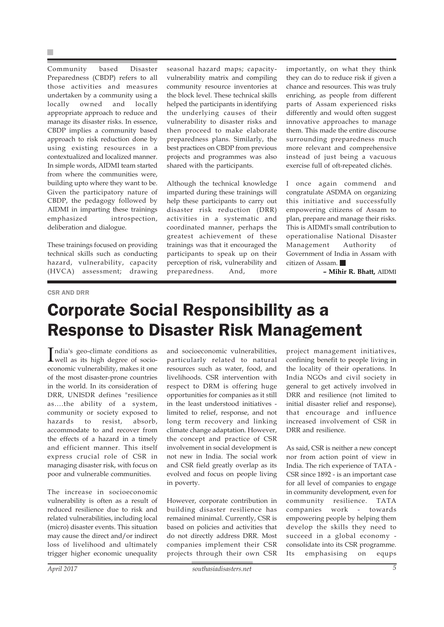×

Community based Disaster Preparedness (CBDP) refers to all those activities and measures undertaken by a community using a locally owned and locally appropriate approach to reduce and manage its disaster risks. In essence, CBDP implies a community based approach to risk reduction done by using existing resources in a contextualized and localized manner. In simple words, AIDMI team started from where the communities were, building upto where they want to be. Given the participatory nature of CBDP, the pedagogy followed by AIDMI in imparting these trainings emphasized introspection, deliberation and dialogue.

These trainings focused on providing technical skills such as conducting hazard, vulnerability, capacity (HVCA) assessment; drawing

seasonal hazard maps; capacityvulnerability matrix and compiling community resource inventories at the block level. These technical skills helped the participants in identifying the underlying causes of their vulnerability to disaster risks and then proceed to make elaborate preparedness plans. Similarly, the best practices on CBDP from previous projects and programmes was also shared with the participants.

Although the technical knowledge imparted during these trainings will help these participants to carry out disaster risk reduction (DRR) activities in a systematic and coordinated manner, perhaps the greatest achievement of these trainings was that it encouraged the participants to speak up on their perception of risk, vulnerability and preparedness. And, more

importantly, on what they think they can do to reduce risk if given a chance and resources. This was truly enriching, as people from different parts of Assam experienced risks differently and would often suggest innovative approaches to manage them. This made the entire discourse surrounding preparedness much more relevant and comprehensive instead of just being a vacuous exercise full of oft-repeated clichés.

I once again commend and congratulate ASDMA on organizing this initiative and successfully empowering citizens of Assam to plan, prepare and manage their risks. This is AIDMI's small contribution to operationalise National Disaster Management Authority of Government of India in Assam with citizen of Assam.

**– Mihir R. Bhatt,** AIDMI

#### CSR AND DRR

### Corporate Social Responsibility as a Response to Disaster Risk Management

India's geo-climate conditions as<br>well as its high degree of sociondia's geo-climate conditions as economic vulnerability, makes it one of the most disaster-prone countries in the world. In its consideration of DRR, UNISDR defines "resilience as….the ability of a system, community or society exposed to hazards to resist, absorb, accommodate to and recover from the effects of a hazard in a timely and efficient manner. This itself express crucial role of CSR in managing disaster risk, with focus on poor and vulnerable communities.

The increase in socioeconomic vulnerability is often as a result of reduced resilience due to risk and related vulnerabilities, including local (micro) disaster events. This situation may cause the direct and/or indirect loss of livelihood and ultimately trigger higher economic unequality and socioeconomic vulnerabilities, particularly related to natural resources such as water, food, and livelihoods. CSR intervention with respect to DRM is offering huge opportunities for companies as it still in the least understood initiatives limited to relief, response, and not long term recovery and linking climate change adaptation. However, the concept and practice of CSR involvement in social development is not new in India. The social work and CSR field greatly overlap as its evolved and focus on people living in poverty.

However, corporate contribution in building disaster resilience has remained minimal. Currently, CSR is based on policies and activities that do not directly address DRR. Most companies implement their CSR projects through their own CSR

project management initiatives, confining benefit to people living in the locality of their operations. In India NGOs and civil society in general to get actively involved in DRR and resilience (not limited to initial disaster relief and response), that encourage and influence increased involvement of CSR in DRR and resilience.

As said, CSR is neither a new concept nor from action point of view in India. The rich experience of TATA - CSR since 1892 - is an important case for all level of companies to engage in community development, even for community resilience. TATA companies work - towards empowering people by helping them develop the skills they need to succeed in a global economy consolidate into its CSR programme. Its emphasising on equps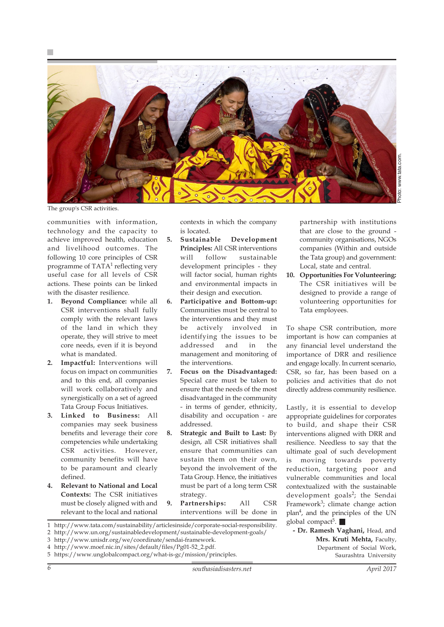

The group's CSR activities.

communities with information, technology and the capacity to achieve improved health, education and livelihood outcomes. The following 10 core principles of CSR programme of TATA<sup>1</sup> reflecting very useful case for all levels of CSR actions. These points can be linked with the disaster resilience.

- **1. Beyond Compliance:** while all CSR interventions shall fully comply with the relevant laws of the land in which they operate, they will strive to meet core needs, even if it is beyond what is mandated.
- **2. Impactful:** Interventions will focus on impact on communities and to this end, all companies will work collaboratively and synergistically on a set of agreed Tata Group Focus Initiatives.
- **3. Linked to Business:** All companies may seek business benefits and leverage their core competencies while undertaking CSR activities. However, community benefits will have to be paramount and clearly defined.
- **4. Relevant to National and Local Contexts:** The CSR initiatives must be closely aligned with and relevant to the local and national

contexts in which the company is located.

- **5. Sustainable Development Principles:** All CSR interventions will follow sustainable development principles - they will factor social, human rights and environmental impacts in their design and execution.
- **6. Participative and Bottom-up:** Communities must be central to the interventions and they must be actively involved in identifying the issues to be addressed and in the management and monitoring of the interventions.
- **7. Focus on the Disadvantaged:** Special care must be taken to ensure that the needs of the most disadvantaged in the community - in terms of gender, ethnicity, disability and occupation - are addressed.
- **8. Strategic and Built to Last:** By design, all CSR initiatives shall ensure that communities can sustain them on their own, beyond the involvement of the Tata Group. Hence, the initiatives must be part of a long term CSR strategy.
- **9. Partnerships:** All CSR interventions will be done in

partnership with institutions that are close to the ground community organisations, NGOs companies (Within and outside the Tata group) and government: Local, state and central.

**10. Opportunities For Volunteering:** The CSR initiatives will be designed to provide a range of volunteering opportunities for Tata employees.

To shape CSR contribution, more important is how can companies at any financial level understand the importance of DRR and resilience and engage locally. In current scenario, CSR, so far, has been based on a policies and activities that do not directly address community resilience.

Lastly, it is essential to develop appropriate guidelines for corporates to build, and shape their CSR interventions aligned with DRR and resilience. Needless to say that the ultimate goal of such development is moving towards poverty reduction, targeting poor and vulnerable communities and local contextualized with the sustainable development goals<sup>2</sup>; the Sendai Framework<sup>3</sup>; climate change action plan4, and the principles of the UN global compact<sup>5</sup>.  $\blacksquare$ 

- **Dr. Ramesh Vaghani,** Head, and **Mrs. Kruti Mehta,** Faculty, Department of Social Work, Saurashtra University
- 1 http://www.tata.com/sustainability/articlesinside/corporate-social-responsibility.
- 2 http://www.un.org/sustainabledevelopment/sustainable-development-goals/
- 3 http://www.unisdr.org/we/coordinate/sendai-framework.
- 4 http://www.moef.nic.in/sites/default/files/Pg01-52\_2.pdf.
- 5 https://www.unglobalcompact.org/what-is-gc/mission/principles.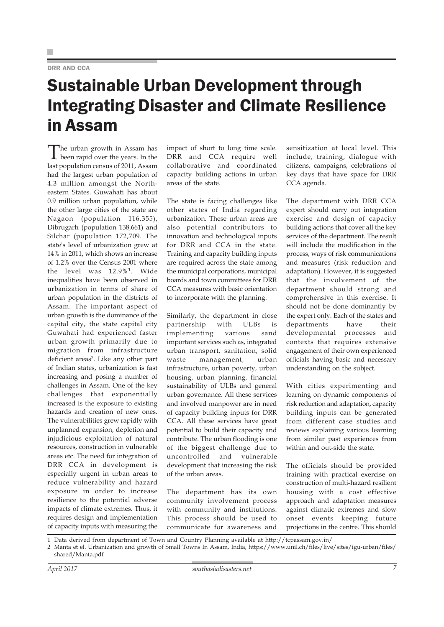#### DRR AND CCA

### Sustainable Urban Development through Integrating Disaster and Climate Resilience in Assam

The urban growth in Assam has<br>been rapid over the years. In the last population census of 2011, Assam had the largest urban population of 4.3 million amongst the Northeastern States. Guwahati has about 0.9 million urban population, while the other large cities of the state are Nagaon (population 116,355), Dibrugarh (population 138,661) and Silchar (population 172,709. The state's level of urbanization grew at 14% in 2011, which shows an increase of 1.2% over the Census 2001 where the level was 12.9%1. Wide inequalities have been observed in urbanization in terms of share of urban population in the districts of Assam. The important aspect of urban growth is the dominance of the capital city, the state capital city Guwahati had experienced faster urban growth primarily due to migration from infrastructure deficient areas<sup>2</sup>. Like any other part of Indian states, urbanization is fast increasing and posing a number of challenges in Assam. One of the key challenges that exponentially increased is the exposure to existing hazards and creation of new ones. The vulnerabilities grew rapidly with unplanned expansion, depletion and injudicious exploitation of natural resources, construction in vulnerable areas etc. The need for integration of DRR CCA in development is especially urgent in urban areas to reduce vulnerability and hazard exposure in order to increase resilience to the potential adverse impacts of climate extremes. Thus, it requires design and implementation of capacity inputs with measuring the

impact of short to long time scale. DRR and CCA require well collaborative and coordinated capacity building actions in urban areas of the state.

The state is facing challenges like other states of India regarding urbanization. These urban areas are also potential contributors to innovation and technological inputs for DRR and CCA in the state. Training and capacity building inputs are required across the state among the municipal corporations, municipal boards and town committees for DRR CCA measures with basic orientation to incorporate with the planning.

Similarly, the department in close partnership with ULBs is implementing various sand important services such as, integrated urban transport, sanitation, solid waste management, urban infrastructure, urban poverty, urban housing, urban planning, financial sustainability of ULBs and general urban governance. All these services and involved manpower are in need of capacity building inputs for DRR CCA. All these services have great potential to build their capacity and contribute. The urban flooding is one of the biggest challenge due to uncontrolled and vulnerable development that increasing the risk of the urban areas.

The department has its own community involvement process with community and institutions. This process should be used to communicate for awareness and

sensitization at local level. This include, training, dialogue with citizens, campaigns, celebrations of key days that have space for DRR CCA agenda.

The department with DRR CCA expert should carry out integration exercise and design of capacity building actions that cover all the key services of the department. The result will include the modification in the process, ways of risk communications and measures (risk reduction and adaptation). However, it is suggested that the involvement of the department should strong and comprehensive in this exercise. It should not be done dominantly by the expert only. Each of the states and departments have their developmental processes and contexts that requires extensive engagement of their own experienced officials having basic and necessary understanding on the subject.

With cities experimenting and learning on dynamic components of risk reduction and adaptation, capacity building inputs can be generated from different case studies and reviews explaining various learning from similar past experiences from within and out-side the state.

The officials should be provided training with practical exercise on construction of multi-hazard resilient housing with a cost effective approach and adaptation measures against climatic extremes and slow onset events keeping future projections in the centre. This should

1 Data derived from department of Town and Country Planning available at http://tcpassam.gov.in/

<sup>2</sup> Manta et el. Urbanization and growth of Small Towns In Assam, India, https://www.unil.ch/files/live/sites/igu-urban/files/ shared/Manta.pdf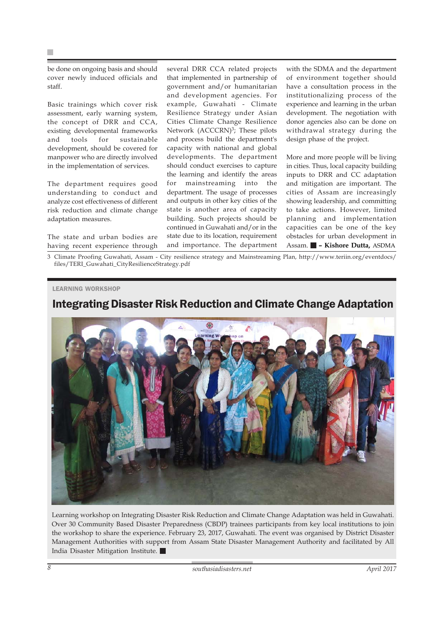be done on ongoing basis and should cover newly induced officials and staff.

Basic trainings which cover risk assessment, early warning system, the concept of DRR and CCA, existing developmental frameworks and tools for sustainable development, should be covered for manpower who are directly involved in the implementation of services.

The department requires good understanding to conduct and analyze cost effectiveness of different risk reduction and climate change adaptation measures.

The state and urban bodies are having recent experience through several DRR CCA related projects that implemented in partnership of government and/or humanitarian and development agencies. For example, Guwahati - Climate Resilience Strategy under Asian Cities Climate Change Resilience Network (ACCCRN)<sup>3</sup>; These pilots and process build the department's capacity with national and global developments. The department should conduct exercises to capture the learning and identify the areas for mainstreaming into the department. The usage of processes and outputs in other key cities of the state is another area of capacity building. Such projects should be continued in Guwahati and/or in the state due to its location, requirement and importance. The department with the SDMA and the department of environment together should have a consultation process in the institutionalizing process of the experience and learning in the urban development. The negotiation with donor agencies also can be done on withdrawal strategy during the design phase of the project.

More and more people will be living in cities. Thus, local capacity building inputs to DRR and CC adaptation and mitigation are important. The cities of Assam are increasingly showing leadership, and committing to take actions. However, limited planning and implementation capacities can be one of the key obstacles for urban development in Assam. **– Kishore Dutta,** ASDMA

3 Climate Proofing Guwahati, Assam - City resilience strategy and Mainstreaming Plan, http://www.teriin.org/eventdocs/ files/TERI\_Guwahati\_CityResilienceStrategy.pdf

#### LEARNING WORKSHOP

#### Integrating Disaster Risk Reduction and Climate Change Adaptation



Learning workshop on Integrating Disaster Risk Reduction and Climate Change Adaptation was held in Guwahati. Over 30 Community Based Disaster Preparedness (CBDP) trainees participants from key local institutions to join the workshop to share the experience. February 23, 2017, Guwahati. The event was organised by District Disaster Management Authorities with support from Assam State Disaster Management Authority and facilitated by All India Disaster Mitigation Institute.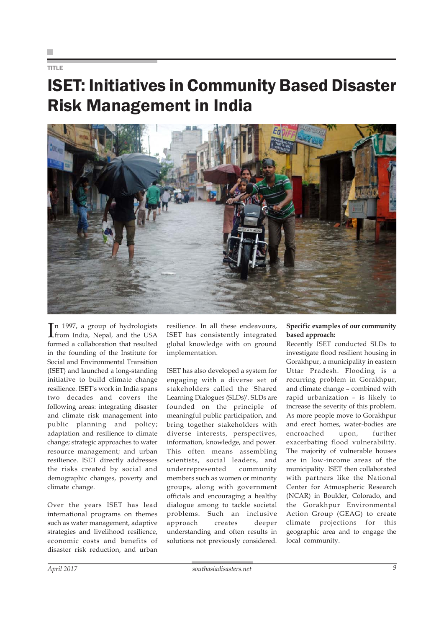TITLE

### ISET: Initiatives in Community Based Disaster Risk Management in India



In 1997, a group of hydrologists<br>from India, Nepal, and the USA n 1997, a group of hydrologists formed a collaboration that resulted in the founding of the Institute for Social and Environmental Transition (ISET) and launched a long-standing initiative to build climate change resilience. ISET's work in India spans two decades and covers the following areas: integrating disaster and climate risk management into public planning and policy; adaptation and resilience to climate change; strategic approaches to water resource management; and urban resilience. ISET directly addresses the risks created by social and demographic changes, poverty and climate change.

Over the years ISET has lead international programs on themes such as water management, adaptive strategies and livelihood resilience, economic costs and benefits of disaster risk reduction, and urban resilience. In all these endeavours, ISET has consistently integrated global knowledge with on ground implementation.

ISET has also developed a system for engaging with a diverse set of stakeholders called the 'Shared Learning Dialogues (SLDs)'. SLDs are founded on the principle of meaningful public participation, and bring together stakeholders with diverse interests, perspectives, information, knowledge, and power. This often means assembling scientists, social leaders, and underrepresented community members such as women or minority groups, along with government officials and encouraging a healthy dialogue among to tackle societal problems. Such an inclusive approach creates deeper understanding and often results in solutions not previously considered.

#### **Specific examples of our community based approach:**

Recently ISET conducted SLDs to investigate flood resilient housing in Gorakhpur, a municipality in eastern Uttar Pradesh. Flooding is a recurring problem in Gorakhpur, and climate change – combined with rapid urbanization – is likely to increase the severity of this problem. As more people move to Gorakhpur and erect homes, water-bodies are encroached upon, further exacerbating flood vulnerability. The majority of vulnerable houses are in low-income areas of the municipality. ISET then collaborated with partners like the National Center for Atmospheric Research (NCAR) in Boulder, Colorado, and the Gorakhpur Environmental Action Group (GEAG) to create climate projections for this geographic area and to engage the local community.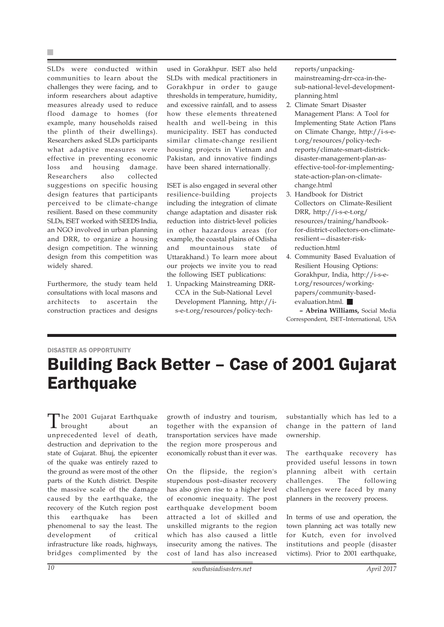SLDs were conducted within communities to learn about the challenges they were facing, and to inform researchers about adaptive measures already used to reduce flood damage to homes (for example, many households raised the plinth of their dwellings). Researchers asked SLDs participants what adaptive measures were effective in preventing economic loss and housing damage. Researchers also collected suggestions on specific housing design features that participants perceived to be climate-change resilient. Based on these community SLDs, ISET worked with SEEDS India, an NGO involved in urban planning and DRR, to organize a housing design competition. The winning design from this competition was widely shared.

Furthermore, the study team held consultations with local masons and architects to ascertain the construction practices and designs used in Gorakhpur. ISET also held SLDs with medical practitioners in Gorakhpur in order to gauge thresholds in temperature, humidity, and excessive rainfall, and to assess how these elements threatened health and well-being in this municipality. ISET has conducted similar climate-change resilient housing projects in Vietnam and Pakistan, and innovative findings have been shared internationally.

ISET is also engaged in several other resilience-building projects including the integration of climate change adaptation and disaster risk reduction into district-level policies in other hazardous areas (for example, the coastal plains of Odisha and mountainous state of Uttarakhand.) To learn more about our projects we invite you to read the following ISET publications:

1. Unpacking Mainstreaming DRR-CCA in the Sub-National Level Development Planning, http://is-e-t.org/resources/policy-techreports/unpackingmainstreaming-drr-cca-in-thesub-national-level-developmentplanning.html

- 2. Climate Smart Disaster Management Plans: A Tool for Implementing State Action Plans on Climate Change, http://i-s-et.org/resources/policy-techreports/climate-smart-districkdisaster-management-plan-aseffective-tool-for-implementingstate-action-plan-on-climatechange.html
- 3. Handbook for District Collectors on Climate-Resilient DRR, http://i-s-e-t.org/ resources/training/handbookfor-district-collectors-on-climateresilient—disaster-riskreduction.html
- 4. Community Based Evaluation of Resilient Housing Options: Gorakhpur, India, http://i-s-et.org/resources/workingpapers/community-basedevaluation.html.

**– Abrina Williams,** Social Media Correspondent, ISET–International, USA

### DISASTER AS OPPORTUNITY Building Back Better – Case of 2001 Gujarat **Earthquake**

The 2001 Gujarat Earthquake  $\mathbf 1$  brought unprecedented level of death, destruction and deprivation to the state of Gujarat. Bhuj, the epicenter of the quake was entirely razed to the ground as were most of the other parts of the Kutch district. Despite the massive scale of the damage caused by the earthquake, the recovery of the Kutch region post this earthquake has been phenomenal to say the least. The development of critical infrastructure like roads, highways, bridges complimented by the

growth of industry and tourism, together with the expansion of transportation services have made the region more prosperous and economically robust than it ever was.

On the flipside, the region's stupendous post–disaster recovery has also given rise to a higher level of economic inequaity. The post earthquake development boom attracted a lot of skilled and unskilled migrants to the region which has also caused a little insecurity among the natives. The cost of land has also increased

substantially which has led to a change in the pattern of land ownership.

The earthquake recovery has provided useful lessons in town planning albeit with certain challenges. The following challenges were faced by many planners in the recovery process.

In terms of use and operation, the town planning act was totally new for Kutch, even for involved institutions and people (disaster victims). Prior to 2001 earthquake,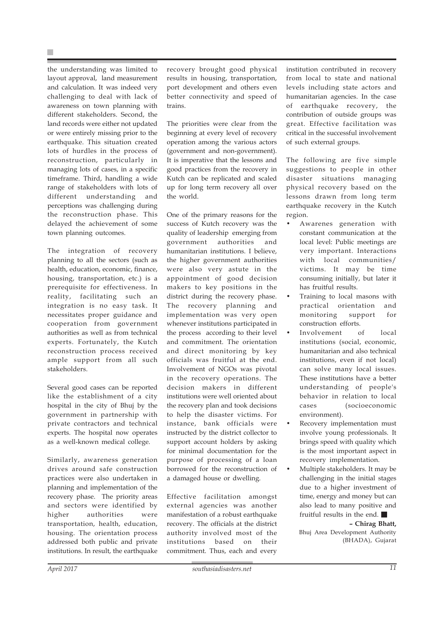the understanding was limited to layout approval, land measurement and calculation. It was indeed very challenging to deal with lack of awareness on town planning with different stakeholders. Second, the land records were either not updated or were entirely missing prior to the earthquake. This situation created lots of hurdles in the process of reconstruction, particularly in managing lots of cases, in a specific timeframe. Third, handling a wide range of stakeholders with lots of different understanding and perceptions was challenging during the reconstruction phase. This delayed the achievement of some town planning outcomes.

The integration of recovery planning to all the sectors (such as health, education, economic, finance, housing, transportation, etc.) is a prerequisite for effectiveness. In reality, facilitating such an integration is no easy task. It necessitates proper guidance and cooperation from government authorities as well as from technical experts. Fortunately, the Kutch reconstruction process received ample support from all such stakeholders.

Several good cases can be reported like the establishment of a city hospital in the city of Bhuj by the government in partnership with private contractors and technical experts. The hospital now operates as a well-known medical college.

Similarly, awareness generation drives around safe construction practices were also undertaken in planning and implementation of the recovery phase. The priority areas and sectors were identified by higher authorities were transportation, health, education, housing. The orientation process addressed both public and private institutions. In result, the earthquake recovery brought good physical results in housing, transportation, port development and others even better connectivity and speed of trains.

The priorities were clear from the beginning at every level of recovery operation among the various actors (government and non-government). It is imperative that the lessons and good practices from the recovery in Kutch can be replicated and scaled up for long term recovery all over the world.

One of the primary reasons for the success of Kutch recovery was the quality of leadership emerging from government authorities and humanitarian institutions. I believe, the higher government authorities were also very astute in the appointment of good decision makers to key positions in the district during the recovery phase. The recovery planning and implementation was very open whenever institutions participated in the process according to their level and commitment. The orientation and direct monitoring by key officials was fruitful at the end. Involvement of NGOs was pivotal in the recovery operations. The decision makers in different institutions were well oriented about the recovery plan and took decisions to help the disaster victims. For instance, bank officials were instructed by the district collector to support account holders by asking for minimal documentation for the purpose of processing of a loan borrowed for the reconstruction of a damaged house or dwelling.

Effective facilitation amongst external agencies was another manifestation of a robust earthquake recovery. The officials at the district authority involved most of the institutions based on their commitment. Thus, each and every institution contributed in recovery from local to state and national levels including state actors and humanitarian agencies. In the case of earthquake recovery, the contribution of outside groups was great. Effective facilitation was critical in the successful involvement of such external groups.

The following are five simple suggestions to people in other disaster situations managing physical recovery based on the lessons drawn from long term earthquake recovery in the Kutch region.

- Awarenes generation with constant communication at the local level: Public meetings are very important. Interactions with local communities/ victims. It may be time consuming initially, but later it has fruitful results.
- Training to local masons with practical orientation and monitoring support for construction efforts.
- Involvement of local institutions (social, economic, humanitarian and also technical institutions, even if not local) can solve many local issues. These institutions have a better understanding of people's behavior in relation to local cases (socioeconomic environment).
- Recovery implementation must involve young professionals. It brings speed with quality which is the most important aspect in recovery implementation.
- Multiple stakeholders. It may be challenging in the initial stages due to a higher investment of time, energy and money but can also lead to many positive and fruitful results in the end.

#### **– Chirag Bhatt,**

Bhuj Area Development Authority (BHADA), Gujarat